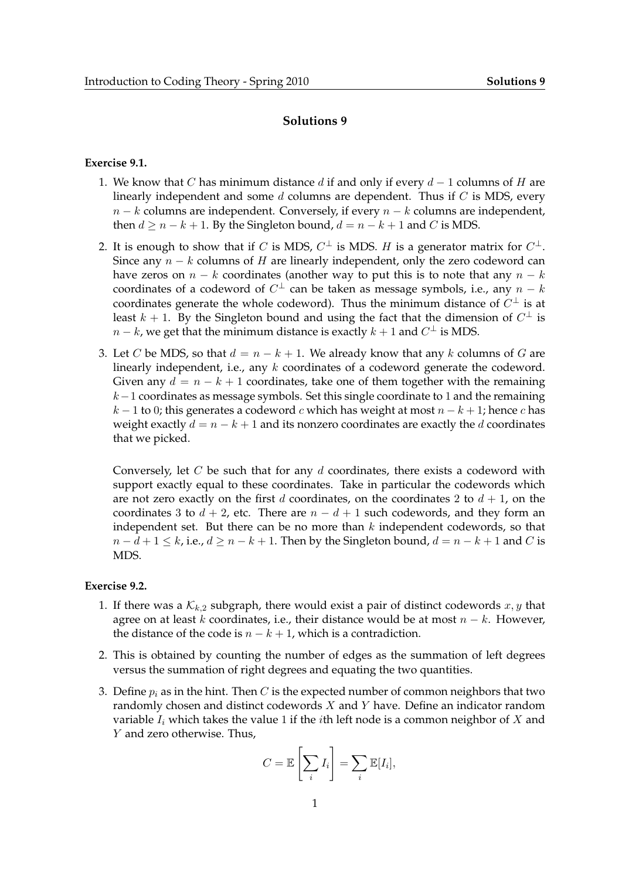## **Solutions 9**

## **Exercise 9.1.**

- 1. We know that C has minimum distance d if and only if every  $d-1$  columns of H are linearly independent and some  $d$  columns are dependent. Thus if  $C$  is MDS, every  $n - k$  columns are independent. Conversely, if every  $n - k$  columns are independent, then  $d \ge n - k + 1$ . By the Singleton bound,  $d = n - k + 1$  and C is MDS.
- 2. It is enough to show that if  $C$  is MDS,  $C^\perp$  is MDS.  $H$  is a generator matrix for  $C^\perp$ . Since any  $n - k$  columns of H are linearly independent, only the zero codeword can have zeros on  $n - k$  coordinates (another way to put this is to note that any  $n - k$ coordinates of a codeword of  $C^{\perp}$  can be taken as message symbols, i.e., any  $n-k$ coordinates generate the whole codeword). Thus the minimum distance of  $C^{\perp}$  is at least  $k + 1$ . By the Singleton bound and using the fact that the dimension of  $C^{\perp}$  is  $n - k$ , we get that the minimum distance is exactly  $k + 1$  and  $C^{\perp}$  is MDS.
- 3. Let C be MDS, so that  $d = n k + 1$ . We already know that any k columns of G are linearly independent, i.e., any k coordinates of a codeword generate the codeword. Given any  $d = n - k + 1$  coordinates, take one of them together with the remaining k−1 coordinates as message symbols. Set this single coordinate to 1 and the remaining  $k-1$  to 0; this generates a codeword c which has weight at most  $n-k+1$ ; hence c has weight exactly  $d = n - k + 1$  and its nonzero coordinates are exactly the d coordinates that we picked.

Conversely, let  $C$  be such that for any  $d$  coordinates, there exists a codeword with support exactly equal to these coordinates. Take in particular the codewords which are not zero exactly on the first d coordinates, on the coordinates 2 to  $d + 1$ , on the coordinates 3 to  $d + 2$ , etc. There are  $n - d + 1$  such codewords, and they form an independent set. But there can be no more than  $k$  independent codewords, so that  $n - d + 1 \le k$ , i.e.,  $d \ge n - k + 1$ . Then by the Singleton bound,  $d = n - k + 1$  and C is MDS.

## **Exercise 9.2.**

- 1. If there was a  $K_{k,2}$  subgraph, there would exist a pair of distinct codewords  $x, y$  that agree on at least k coordinates, i.e., their distance would be at most  $n - k$ . However, the distance of the code is  $n - k + 1$ , which is a contradiction.
- 2. This is obtained by counting the number of edges as the summation of left degrees versus the summation of right degrees and equating the two quantities.
- 3. Define  $p_i$  as in the hint. Then C is the expected number of common neighbors that two randomly chosen and distinct codewords X and Y have. Define an indicator random variable  $I_i$  which takes the value 1 if the *i*th left node is a common neighbor of  $X$  and Y and zero otherwise. Thus,

$$
C = \mathbb{E}\left[\sum_i I_i\right] = \sum_i \mathbb{E}[I_i],
$$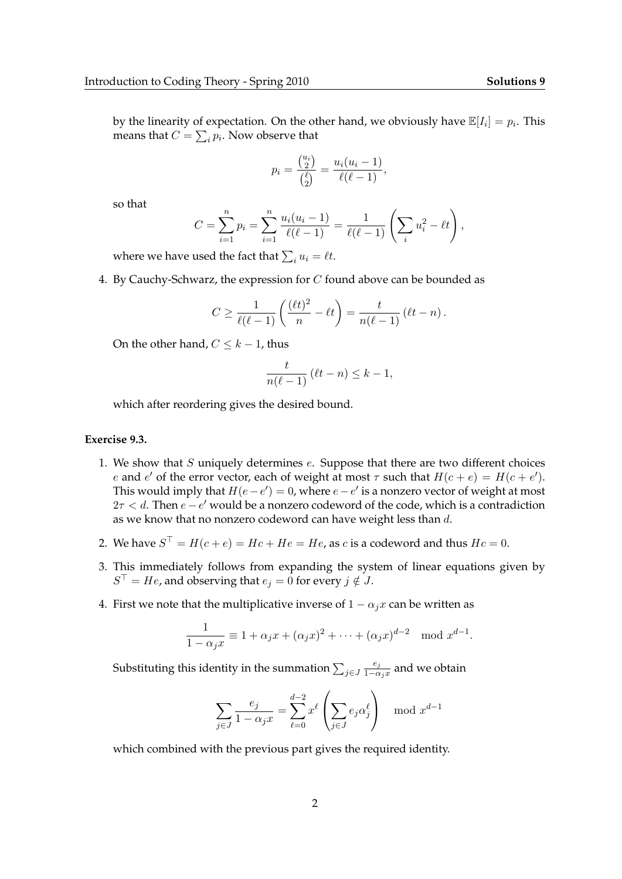by the linearity of expectation. On the other hand, we obviously have  $\mathbb{E}[I_i] = p_i$ . This means that  $C=\sum_i p_i.$  Now observe that

$$
p_i = \frac{\binom{u_i}{2}}{\binom{\ell}{2}} = \frac{u_i(u_i - 1)}{\ell(\ell - 1)},
$$

so that

$$
C = \sum_{i=1}^{n} p_i = \sum_{i=1}^{n} \frac{u_i(u_i - 1)}{\ell(\ell - 1)} = \frac{1}{\ell(\ell - 1)} \left( \sum_i u_i^2 - \ell t \right),
$$

where we have used the fact that  $\sum_i u_i = \ell t.$ 

4. By Cauchy-Schwarz, the expression for C found above can be bounded as

$$
C \ge \frac{1}{\ell(\ell-1)} \left( \frac{(\ell t)^2}{n} - \ell t \right) = \frac{t}{n(\ell-1)} (\ell t - n).
$$

On the other hand,  $C \leq k - 1$ , thus

$$
\frac{t}{n(\ell-1)} (\ell t - n) \leq k - 1,
$$

which after reordering gives the desired bound.

## **Exercise 9.3.**

- 1. We show that  $S$  uniquely determines  $e$ . Suppose that there are two different choices e and e' of the error vector, each of weight at most  $\tau$  such that  $H(c + e) = H(c + e')$ . This would imply that  $H(e-e') = 0$ , where  $e-e'$  is a nonzero vector of weight at most  $2\tau < d$ . Then  $e - e'$  would be a nonzero codeword of the code, which is a contradiction as we know that no nonzero codeword can have weight less than d.
- 2. We have  $S^{\top} = H(c+e) = Hc + He = He$ , as  $c$  is a codeword and thus  $Hc = 0$ .
- 3. This immediately follows from expanding the system of linear equations given by  $S^{\top} = He$ , and observing that  $e_j = 0$  for every  $j \notin J$ .
- 4. First we note that the multiplicative inverse of  $1 \alpha_j x$  can be written as

$$
\frac{1}{1 - \alpha_j x} \equiv 1 + \alpha_j x + (\alpha_j x)^2 + \dots + (\alpha_j x)^{d-2} \mod x^{d-1}.
$$

Substituting this identity in the summation  $\sum_{j\in J}$  $e_j$  $\frac{\epsilon_j}{1-\alpha_j x}$  and we obtain

$$
\sum_{j \in J} \frac{e_j}{1 - \alpha_j x} = \sum_{\ell=0}^{d-2} x^{\ell} \left( \sum_{j \in J} e_j \alpha_j^{\ell} \right) \mod x^{d-1}
$$

which combined with the previous part gives the required identity.